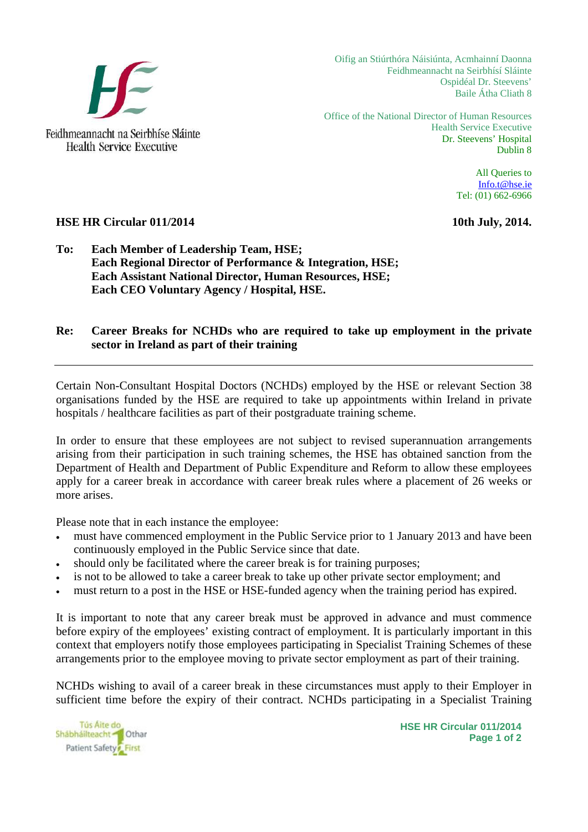

**Health Service Executive** 

Oifig an Stiúrthóra Náisiúnta, Acmhainní Daonna Feidhmeannacht na Seirbhísí Sláinte Ospidéal Dr. Steevens' Baile Átha Cliath 8

Office of the National Director of Human Resources Health Service Executive Dr. Steevens' Hospital Dublin 8

> All Queries to [Info.t@hse.ie](mailto:Info.t@hse.ie) Tel: (01) 662-6966

## **HSE HR Circular 011/2014** 10th July, 2014.

## **To: Each Member of Leadership Team, HSE; Each Regional Director of Performance & Integration, HSE; Each Assistant National Director, Human Resources, HSE; Each CEO Voluntary Agency / Hospital, HSE.**

## **Re: Career Breaks for NCHDs who are required to take up employment in the private sector in Ireland as part of their training**

Certain Non-Consultant Hospital Doctors (NCHDs) employed by the HSE or relevant Section 38 organisations funded by the HSE are required to take up appointments within Ireland in private hospitals / healthcare facilities as part of their postgraduate training scheme.

In order to ensure that these employees are not subject to revised superannuation arrangements arising from their participation in such training schemes, the HSE has obtained sanction from the Department of Health and Department of Public Expenditure and Reform to allow these employees apply for a career break in accordance with career break rules where a placement of 26 weeks or more arises.

Please note that in each instance the employee:

- must have commenced employment in the Public Service prior to 1 January 2013 and have been continuously employed in the Public Service since that date.
- should only be facilitated where the career break is for training purposes;
- is not to be allowed to take a career break to take up other private sector employment; and
- must return to a post in the HSE or HSE-funded agency when the training period has expired.

It is important to note that any career break must be approved in advance and must commence before expiry of the employees' existing contract of employment. It is particularly important in this context that employers notify those employees participating in Specialist Training Schemes of these arrangements prior to the employee moving to private sector employment as part of their training.

NCHDs wishing to avail of a career break in these circumstances must apply to their Employer in sufficient time before the expiry of their contract. NCHDs participating in a Specialist Training



**HSE HR Circular 011/2014 Page 1 of 2**